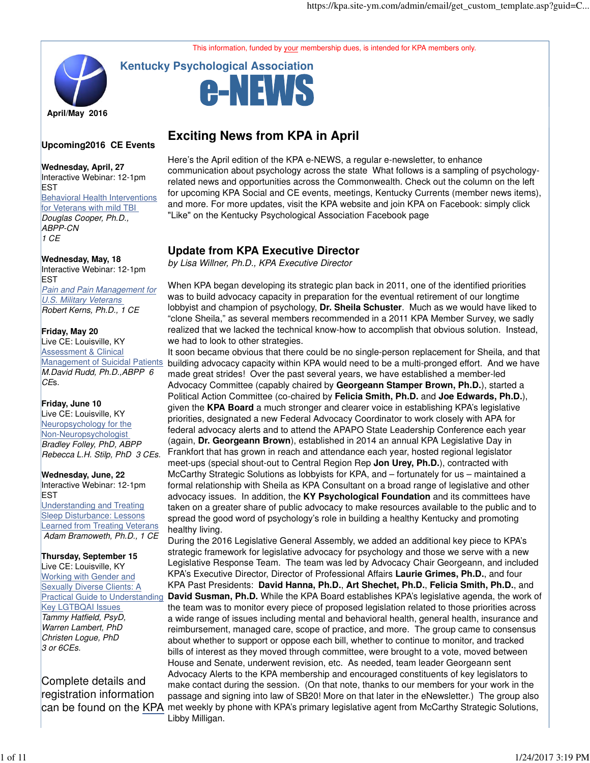This information, funded by your membership dues, is intended for KPA members only.

# **April/May 2016**

# **Upcoming2016 CE Events**

### **Wednesday, April, 27** Interactive Webinar: 12-1pm EST **Behavioral Health Interventions** for Veterans with mild TBI Douglas Cooper, Ph.D., ABPP-CN 1 CE

### **Wednesday, May, 18** Interactive Webinar: 12-1pm EST Pain and Pain Management for U.S. Military Veterans Robert Kerns, Ph.D., 1 CE

### **Friday, May 20**

Live CE: Louisville, KY Assessment & Clinical **Management of Suicidal Patients** M.David Rudd, Ph.D.,ABPP 6 CE<sub>s</sub>.

### **Friday, June 10**

Live CE: Louisville, KY Neuropsychology for the Non-Neuropsychologist Bradley Folley, PhD, ABPP Rebecca L.H. Stilp, PhD 3 CEs.

### **Wednesday, June, 22** Interactive Webinar: 12-1pm EST Understanding and Treating Sleep Disturbance: Lessons Learned from Treating Veterans Adam Bramoweth, Ph.D., 1 CE

**Thursday, September 15**  Live CE: Louisville, KY Working with Gender and Sexually Diverse Clients: A Practical Guide to Understanding Key LGTBQAI Issues Tammy Hatfield, PsyD, Warren Lambert, PhD Christen Logue, PhD 3 or 6CEs.

Complete details and registration information

# **Exciting News from KPA in April**

-NEVVS

**Kentucky Psychological Association**

Here's the April edition of the KPA e-NEWS, a regular e-newsletter, to enhance communication about psychology across the state What follows is a sampling of psychologyrelated news and opportunities across the Commonwealth. Check out the column on the left for upcoming KPA Social and CE events, meetings, Kentucky Currents (member news items), and more. For more updates, visit the KPA website and join KPA on Facebook: simply click "Like" on the Kentucky Psychological Association Facebook page

# **Update from KPA Executive Director**

by Lisa Willner, Ph.D., KPA Executive Director

When KPA began developing its strategic plan back in 2011, one of the identified priorities was to build advocacy capacity in preparation for the eventual retirement of our longtime lobbyist and champion of psychology, **Dr. Sheila Schuster**. Much as we would have liked to "clone Sheila," as several members recommended in a 2011 KPA Member Survey, we sadly realized that we lacked the technical know-how to accomplish that obvious solution. Instead, we had to look to other strategies.

It soon became obvious that there could be no single-person replacement for Sheila, and that building advocacy capacity within KPA would need to be a multi-pronged effort. And we have made great strides! Over the past several years, we have established a member-led Advocacy Committee (capably chaired by **Georgeann Stamper Brown, Ph.D.**), started a Political Action Committee (co-chaired by **Felicia Smith, Ph.D.** and **Joe Edwards, Ph.D.**), given the **KPA Board** a much stronger and clearer voice in establishing KPA's legislative priorities, designated a new Federal Advocacy Coordinator to work closely with APA for federal advocacy alerts and to attend the APAPO State Leadership Conference each year (again, **Dr. Georgeann Brown**), established in 2014 an annual KPA Legislative Day in Frankfort that has grown in reach and attendance each year, hosted regional legislator meet-ups (special shout-out to Central Region Rep **Jon Urey, Ph.D.**), contracted with McCarthy Strategic Solutions as lobbyists for KPA, and – fortunately for us – maintained a formal relationship with Sheila as KPA Consultant on a broad range of legislative and other advocacy issues. In addition, the **KY Psychological Foundation** and its committees have taken on a greater share of public advocacy to make resources available to the public and to spread the good word of psychology's role in building a healthy Kentucky and promoting healthy living.

can be found on the KPA met weekly by phone with KPA's primary legislative agent from McCarthy Strategic Solutions, During the 2016 Legislative General Assembly, we added an additional key piece to KPA's strategic framework for legislative advocacy for psychology and those we serve with a new Legislative Response Team. The team was led by Advocacy Chair Georgeann, and included KPA's Executive Director, Director of Professional Affairs **Laurie Grimes, Ph.D.**, and four KPA Past Presidents: **David Hanna, Ph.D.**, **Art Shechet, Ph.D.**, **Felicia Smith, Ph.D.**, and **David Susman, Ph.D.** While the KPA Board establishes KPA's legislative agenda, the work of the team was to monitor every piece of proposed legislation related to those priorities across a wide range of issues including mental and behavioral health, general health, insurance and reimbursement, managed care, scope of practice, and more. The group came to consensus about whether to support or oppose each bill, whether to continue to monitor, and tracked bills of interest as they moved through committee, were brought to a vote, moved between House and Senate, underwent revision, etc. As needed, team leader Georgeann sent Advocacy Alerts to the KPA membership and encouraged constituents of key legislators to make contact during the session. (On that note, thanks to our members for your work in the passage and signing into law of SB20! More on that later in the eNewsletter.) The group also Libby Milligan.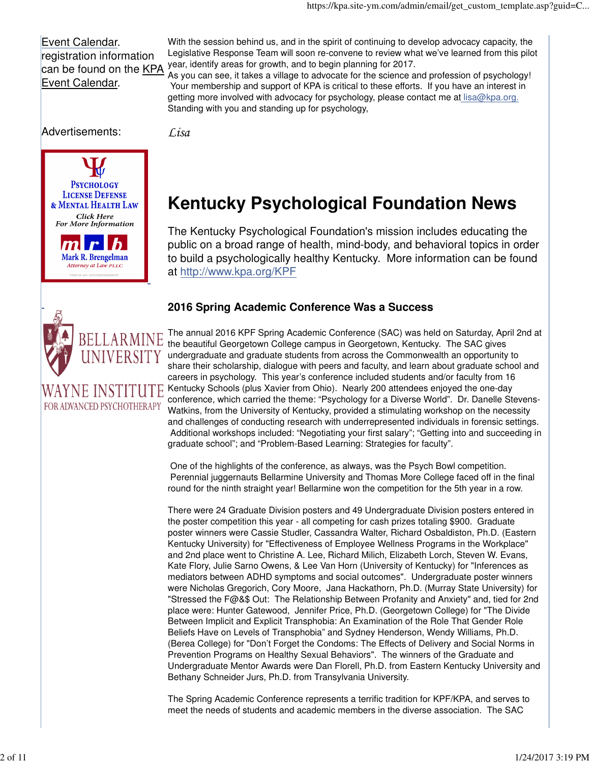Event Calendar. registration information can be found on the KPA Event Calendar.

With the session behind us, and in the spirit of continuing to develop advocacy capacity, the Legislative Response Team will soon re-convene to review what we've learned from this pilot year, identify areas for growth, and to begin planning for 2017.

As you can see, it takes a village to advocate for the science and profession of psychology! Your membership and support of KPA is critical to these efforts. If you have an interest in getting more involved with advocacy for psychology, please contact me at lisa@kpa.org. Standing with you and standing up for psychology,

Advertisements:

 $|\bm{m}|$ 

**PSYCHOLOGY LICENSE DEFENSE** & MENTAL HEALTH LAW Click Here For More Information

> $\mathbf{r}$ Mark R. Brengelman Attorney at Law PLLC S IS AN ADVERTISEMEN

 $\bm{h}$ 

BELLARMINE UNIVERSITY

E INSTITUTE

FOR ADVANCED PSYCHOTHERAPY

*Lisa*

# **Kentucky Psychological Foundation News**

The Kentucky Psychological Foundation's mission includes educating the public on a broad range of health, mind-body, and behavioral topics in order to build a psychologically healthy Kentucky. More information can be found at http://www.kpa.org/KPF

# **2016 Spring Academic Conference Was a Success**

The annual 2016 KPF Spring Academic Conference (SAC) was held on Saturday, April 2nd at the beautiful Georgetown College campus in Georgetown, Kentucky. The SAC gives undergraduate and graduate students from across the Commonwealth an opportunity to share their scholarship, dialogue with peers and faculty, and learn about graduate school and careers in psychology. This year's conference included students and/or faculty from 16 Kentucky Schools (plus Xavier from Ohio). Nearly 200 attendees enjoyed the one-day conference, which carried the theme: "Psychology for a Diverse World". Dr. Danelle Stevens-Watkins, from the University of Kentucky, provided a stimulating workshop on the necessity and challenges of conducting research with underrepresented individuals in forensic settings. Additional workshops included: "Negotiating your first salary"; "Getting into and succeeding in graduate school"; and "Problem-Based Learning: Strategies for faculty".

 One of the highlights of the conference, as always, was the Psych Bowl competition. Perennial juggernauts Bellarmine University and Thomas More College faced off in the final round for the ninth straight year! Bellarmine won the competition for the 5th year in a row.

There were 24 Graduate Division posters and 49 Undergraduate Division posters entered in the poster competition this year - all competing for cash prizes totaling \$900. Graduate poster winners were Cassie Studler, Cassandra Walter, Richard Osbaldiston, Ph.D. (Eastern Kentucky University) for "Effectiveness of Employee Wellness Programs in the Workplace" and 2nd place went to Christine A. Lee, Richard Milich, Elizabeth Lorch, Steven W. Evans, Kate Flory, Julie Sarno Owens, & Lee Van Horn (University of Kentucky) for "Inferences as mediators between ADHD symptoms and social outcomes". Undergraduate poster winners were Nicholas Gregorich, Cory Moore, Jana Hackathorn, Ph.D. (Murray State University) for "Stressed the F@&\$ Out: The Relationship Between Profanity and Anxiety" and, tied for 2nd place were: Hunter Gatewood, Jennifer Price, Ph.D. (Georgetown College) for "The Divide Between Implicit and Explicit Transphobia: An Examination of the Role That Gender Role Beliefs Have on Levels of Transphobia" and Sydney Henderson, Wendy Williams, Ph.D. (Berea College) for "Don't Forget the Condoms: The Effects of Delivery and Social Norms in Prevention Programs on Healthy Sexual Behaviors". The winners of the Graduate and Undergraduate Mentor Awards were Dan Florell, Ph.D. from Eastern Kentucky University and Bethany Schneider Jurs, Ph.D. from Transylvania University.

The Spring Academic Conference represents a terrific tradition for KPF/KPA, and serves to meet the needs of students and academic members in the diverse association. The SAC

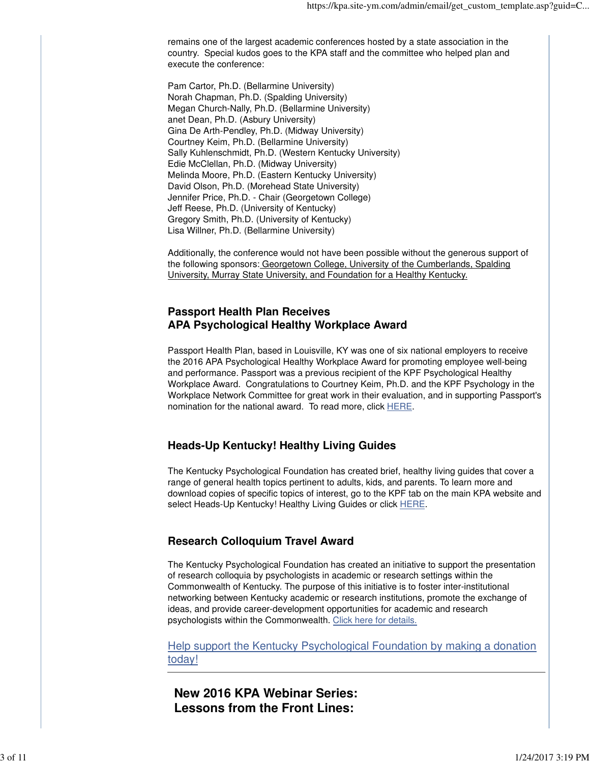remains one of the largest academic conferences hosted by a state association in the country. Special kudos goes to the KPA staff and the committee who helped plan and execute the conference:

Pam Cartor, Ph.D. (Bellarmine University) Norah Chapman, Ph.D. (Spalding University) Megan Church-Nally, Ph.D. (Bellarmine University) anet Dean, Ph.D. (Asbury University) Gina De Arth-Pendley, Ph.D. (Midway University) Courtney Keim, Ph.D. (Bellarmine University) Sally Kuhlenschmidt, Ph.D. (Western Kentucky University) Edie McClellan, Ph.D. (Midway University) Melinda Moore, Ph.D. (Eastern Kentucky University) David Olson, Ph.D. (Morehead State University) Jennifer Price, Ph.D. - Chair (Georgetown College) Jeff Reese, Ph.D. (University of Kentucky) Gregory Smith, Ph.D. (University of Kentucky) Lisa Willner, Ph.D. (Bellarmine University)

Additionally, the conference would not have been possible without the generous support of the following sponsors: Georgetown College, University of the Cumberlands, Spalding University, Murray State University, and Foundation for a Healthy Kentucky.

## **Passport Health Plan Receives APA Psychological Healthy Workplace Award**

Passport Health Plan, based in Louisville, KY was one of six national employers to receive the 2016 APA Psychological Healthy Workplace Award for promoting employee well-being and performance. Passport was a previous recipient of the KPF Psychological Healthy Workplace Award. Congratulations to Courtney Keim, Ph.D. and the KPF Psychology in the Workplace Network Committee for great work in their evaluation, and in supporting Passport's nomination for the national award. To read more, click HERE.

# **Heads-Up Kentucky! Healthy Living Guides**

The Kentucky Psychological Foundation has created brief, healthy living guides that cover a range of general health topics pertinent to adults, kids, and parents. To learn more and download copies of specific topics of interest, go to the KPF tab on the main KPA website and select Heads-Up Kentucky! Healthy Living Guides or click HERE.

# **Research Colloquium Travel Award**

The Kentucky Psychological Foundation has created an initiative to support the presentation of research colloquia by psychologists in academic or research settings within the Commonwealth of Kentucky. The purpose of this initiative is to foster inter-institutional networking between Kentucky academic or research institutions, promote the exchange of ideas, and provide career-development opportunities for academic and research psychologists within the Commonwealth. Click here for details.

Help support the Kentucky Psychological Foundation by making a donation today!

**New 2016 KPA Webinar Series: Lessons from the Front Lines:**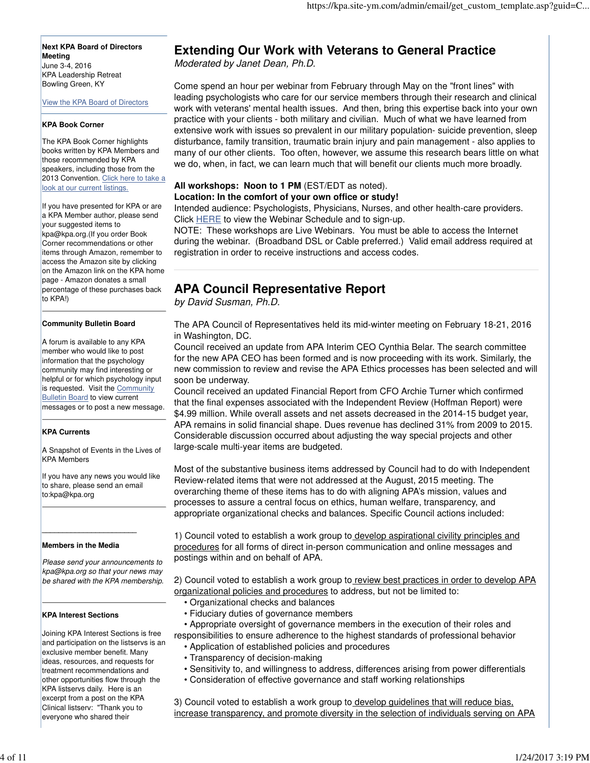**Next KPA Board of Directors Meeting** June 3-4, 2016 KPA Leadership Retreat Bowling Green, KY

View the KPA Board of Directors

### **KPA Book Corner**

The KPA Book Corner highlights books written by KPA Members and those recommended by KPA speakers, including those from the 2013 Convention. Click here to take a look at our current listings.

If you have presented for KPA or are a KPA Member author, please send your suggested items to kpa@kpa.org.(If you order Book Corner recommendations or other items through Amazon, remember to access the Amazon site by clicking on the Amazon link on the KPA home page - Amazon donates a small percentage of these purchases back to KPA!)

### **Community Bulletin Board**

A forum is available to any KPA member who would like to post information that the psychology community may find interesting or helpful or for which psychology input is requested. Visit the Community **Bulletin Board to view current** messages or to post a new message.

### **KPA Currents**

A Snapshot of Events in the Lives of KPA Members

If you have any news you would like to share, please send an email to:kpa@kpa.org

### **Members in the Media**

**\_\_\_\_\_\_\_\_\_\_\_\_\_\_\_\_\_\_\_\_\_\_\_**

Please send your announcements to kpa@kpa.org so that your news may be shared with the KPA membership.

### **KPA Interest Sections**

Joining KPA Interest Sections is free and participation on the listservs is an exclusive member benefit. Many ideas, resources, and requests for treatment recommendations and other opportunities flow through the KPA listservs daily. Here is an excerpt from a post on the KPA Clinical listserv: "Thank you to everyone who shared their

# **Extending Our Work with Veterans to General Practice**

Moderated by Janet Dean, Ph.D.

Come spend an hour per webinar from February through May on the "front lines" with leading psychologists who care for our service members through their research and clinical work with veterans' mental health issues. And then, bring this expertise back into your own practice with your clients - both military and civilian. Much of what we have learned from extensive work with issues so prevalent in our military population- suicide prevention, sleep disturbance, family transition, traumatic brain injury and pain management - also applies to many of our other clients. Too often, however, we assume this research bears little on what we do, when, in fact, we can learn much that will benefit our clients much more broadly.

### **All workshops: Noon to 1 PM** (EST/EDT as noted).

### **Location: In the comfort of your own office or study!**

Intended audience: Psychologists, Physicians, Nurses, and other health-care providers. Click HERE to view the Webinar Schedule and to sign-up.

NOTE: These workshops are Live Webinars. You must be able to access the Internet during the webinar. (Broadband DSL or Cable preferred.) Valid email address required at registration in order to receive instructions and access codes.

# **APA Council Representative Report**

by David Susman, Ph.D.

The APA Council of Representatives held its mid-winter meeting on February 18-21, 2016 in Washington, DC.

Council received an update from APA Interim CEO Cynthia Belar. The search committee for the new APA CEO has been formed and is now proceeding with its work. Similarly, the new commission to review and revise the APA Ethics processes has been selected and will soon be underway.

Council received an updated Financial Report from CFO Archie Turner which confirmed that the final expenses associated with the Independent Review (Hoffman Report) were \$4.99 million. While overall assets and net assets decreased in the 2014-15 budget year, APA remains in solid financial shape. Dues revenue has declined 31% from 2009 to 2015. Considerable discussion occurred about adjusting the way special projects and other large-scale multi-year items are budgeted.

Most of the substantive business items addressed by Council had to do with Independent Review-related items that were not addressed at the August, 2015 meeting. The overarching theme of these items has to do with aligning APA's mission, values and processes to assure a central focus on ethics, human welfare, transparency, and appropriate organizational checks and balances. Specific Council actions included:

1) Council voted to establish a work group to develop aspirational civility principles and procedures for all forms of direct in-person communication and online messages and postings within and on behalf of APA.

2) Council voted to establish a work group to review best practices in order to develop APA organizational policies and procedures to address, but not be limited to:

- Organizational checks and balances
- Fiduciary duties of governance members
- Appropriate oversight of governance members in the execution of their roles and responsibilities to ensure adherence to the highest standards of professional behavior • Application of established policies and procedures
	- Transparency of decision-making
	- Sensitivity to, and willingness to address, differences arising from power differentials
	- Consideration of effective governance and staff working relationships

3) Council voted to establish a work group to develop guidelines that will reduce bias, increase transparency, and promote diversity in the selection of individuals serving on APA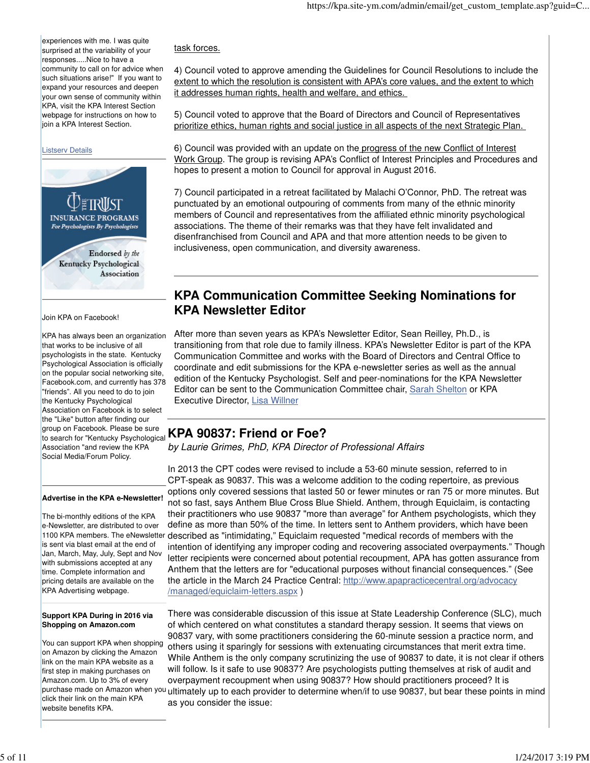experiences with me. I was quite surprised at the variability of your responses.....Nice to have a community to call on for advice when such situations arise!" If you want to expand your resources and deepen your own sense of community within KPA, visit the KPA Interest Section webpage for instructions on how to join a KPA Interest Section.

### Listserv Details



Join KPA on Facebook!

KPA has always been an organization that works to be inclusive of all psychologists in the state. Kentucky Psychological Association is officially on the popular social networking site, Facebook.com, and currently has 378 "friends". All you need to do to join the Kentucky Psychological Association on Facebook is to select the "Like" button after finding our group on Facebook. Please be sure to search for "Kentucky Psychological Association "and review the KPA Social Media/Forum Policy.

### **Advertise in the KPA e-Newsletter!**

The bi-monthly editions of the KPA e-Newsletter, are distributed to over is sent via blast email at the end of Jan, March, May, July, Sept and Nov with submissions accepted at any time. Complete information and pricing details are available on the KPA Advertising webpage.

### **Support KPA During in 2016 via Shopping on Amazon.com**

You can support KPA when shopping on Amazon by clicking the Amazon link on the main KPA website as a first step in making purchases on Amazon.com. Up to 3% of every purchase made on Amazon when yo click their link on the main KPA website benefits KPA.

### task forces.

4) Council voted to approve amending the Guidelines for Council Resolutions to include the extent to which the resolution is consistent with APA's core values, and the extent to which it addresses human rights, health and welfare, and ethics.

5) Council voted to approve that the Board of Directors and Council of Representatives prioritize ethics, human rights and social justice in all aspects of the next Strategic Plan.

6) Council was provided with an update on the progress of the new Conflict of Interest Work Group. The group is revising APA's Conflict of Interest Principles and Procedures and hopes to present a motion to Council for approval in August 2016.

7) Council participated in a retreat facilitated by Malachi O'Connor, PhD. The retreat was punctuated by an emotional outpouring of comments from many of the ethnic minority members of Council and representatives from the affiliated ethnic minority psychological associations. The theme of their remarks was that they have felt invalidated and disenfranchised from Council and APA and that more attention needs to be given to inclusiveness, open communication, and diversity awareness.

# **KPA Communication Committee Seeking Nominations for KPA Newsletter Editor**

After more than seven years as KPA's Newsletter Editor, Sean Reilley, Ph.D., is transitioning from that role due to family illness. KPA's Newsletter Editor is part of the KPA Communication Committee and works with the Board of Directors and Central Office to coordinate and edit submissions for the KPA e-newsletter series as well as the annual edition of the Kentucky Psychologist. Self and peer-nominations for the KPA Newsletter Editor can be sent to the Communication Committee chair, Sarah Shelton or KPA Executive Director, Lisa Willner

# **KPA 90837: Friend or Foe?**

by Laurie Grimes, PhD, KPA Director of Professional Affairs

1100 KPA members. The eNewsletter described as "intimidating," Equiclaim requested "medical records of members with the In 2013 the CPT codes were revised to include a 53-60 minute session, referred to in CPT-speak as 90837. This was a welcome addition to the coding repertoire, as previous options only covered sessions that lasted 50 or fewer minutes or ran 75 or more minutes. But not so fast, says Anthem Blue Cross Blue Shield. Anthem, through Equiclaim, is contacting their practitioners who use 90837 "more than average" for Anthem psychologists, which they define as more than 50% of the time. In letters sent to Anthem providers, which have been intention of identifying any improper coding and recovering associated overpayments." Though letter recipients were concerned about potential recoupment, APA has gotten assurance from Anthem that the letters are for "educational purposes without financial consequences." (See the article in the March 24 Practice Central: http://www.apapracticecentral.org/advocacy /managed/equiclaim-letters.aspx )

> There was considerable discussion of this issue at State Leadership Conference (SLC), much of which centered on what constitutes a standard therapy session. It seems that views on 90837 vary, with some practitioners considering the 60-minute session a practice norm, and others using it sparingly for sessions with extenuating circumstances that merit extra time. While Anthem is the only company scrutinizing the use of 90837 to date, it is not clear if others will follow. Is it safe to use 90837? Are psychologists putting themselves at risk of audit and overpayment recoupment when using 90837? How should practitioners proceed? It is ultimately up to each provider to determine when/if to use 90837, but bear these points in mind as you consider the issue: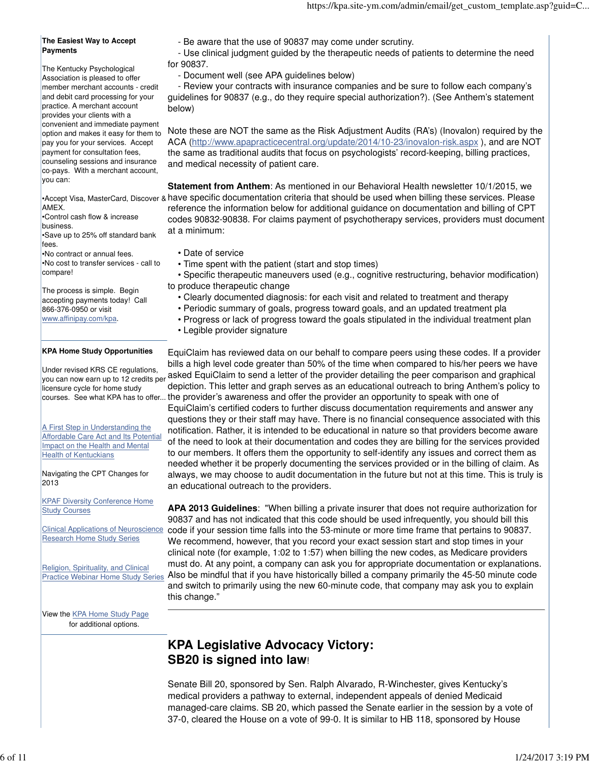### **The Easiest Way to Accept Payments**

The Kentucky Psychological Association is pleased to offer member merchant accounts - credit and debit card processing for your practice. A merchant account provides your clients with a convenient and immediate payment option and makes it easy for them to pay you for your services. Accept payment for consultation fees, counseling sessions and insurance co-pays. With a merchant account, you can:

AMEX.

•Control cash flow & increase business.

•Save up to 25% off standard bank fees.

•No contract or annual fees. •No cost to transfer services - call to compare!

The process is simple. Begin accepting payments today! Call 866-376-0950 or visit www.affinipay.com/kpa.

### **KPA Home Study Opportunities**

Under revised KRS CE regulations, you can now earn up to 12 credits per licensure cycle for home study

A First Step in Understanding the **Affordable Care Act and Its Potential** Impact on the Health and Mental Health of Kentuckians

Navigating the CPT Changes for 2013

KPAF Diversity Conference Home Study Courses

Clinical Applications of Neuroscience Research Home Study Series

Religion, Spirituality, and Clinical Practice Webinar Home Study Series - Be aware that the use of 90837 may come under scrutiny.

 - Use clinical judgment guided by the therapeutic needs of patients to determine the need for 90837.

- Document well (see APA guidelines below)

 - Review your contracts with insurance companies and be sure to follow each company's guidelines for 90837 (e.g., do they require special authorization?). (See Anthem's statement below)

Note these are NOT the same as the Risk Adjustment Audits (RA's) (Inovalon) required by the ACA (http://www.apapracticecentral.org/update/2014/10-23/inovalon-risk.aspx ), and are NOT the same as traditional audits that focus on psychologists' record-keeping, billing practices, and medical necessity of patient care.

•Accept Visa, MasterCard, Discover & have specific documentation criteria that should be used when billing these services. Please **Statement from Anthem**: As mentioned in our Behavioral Health newsletter 10/1/2015, we reference the information below for additional guidance on documentation and billing of CPT codes 90832-90838. For claims payment of psychotherapy services, providers must document at a minimum:

- Date of service
- Time spent with the patient (start and stop times)
- Specific therapeutic maneuvers used (e.g., cognitive restructuring, behavior modification) to produce therapeutic change
	- Clearly documented diagnosis: for each visit and related to treatment and therapy
	- Periodic summary of goals, progress toward goals, and an updated treatment pla
	- Progress or lack of progress toward the goals stipulated in the individual treatment plan
	- Legible provider signature

courses. See what KPA has to offer... the provider's awareness and offer the provider an opportunity to speak with one of EquiClaim has reviewed data on our behalf to compare peers using these codes. If a provider bills a high level code greater than 50% of the time when compared to his/her peers we have asked EquiClaim to send a letter of the provider detailing the peer comparison and graphical depiction. This letter and graph serves as an educational outreach to bring Anthem's policy to EquiClaim's certified coders to further discuss documentation requirements and answer any questions they or their staff may have. There is no financial consequence associated with this notification. Rather, it is intended to be educational in nature so that providers become aware of the need to look at their documentation and codes they are billing for the services provided to our members. It offers them the opportunity to self-identify any issues and correct them as needed whether it be properly documenting the services provided or in the billing of claim. As always, we may choose to audit documentation in the future but not at this time. This is truly is an educational outreach to the providers.

> **APA 2013 Guidelines**: "When billing a private insurer that does not require authorization for 90837 and has not indicated that this code should be used infrequently, you should bill this code if your session time falls into the 53-minute or more time frame that pertains to 90837. We recommend, however, that you record your exact session start and stop times in your clinical note (for example, 1:02 to 1:57) when billing the new codes, as Medicare providers must do. At any point, a company can ask you for appropriate documentation or explanations. Also be mindful that if you have historically billed a company primarily the 45-50 minute code and switch to primarily using the new 60-minute code, that company may ask you to explain this change."

View the **KPA Home Study Page** for additional options.

# **KPA Legislative Advocacy Victory: SB20 is signed into law**!

Senate Bill 20, sponsored by Sen. Ralph Alvarado, R-Winchester, gives Kentucky's medical providers a pathway to external, independent appeals of denied Medicaid managed-care claims. SB 20, which passed the Senate earlier in the session by a vote of 37-0, cleared the House on a vote of 99-0. It is similar to HB 118, sponsored by House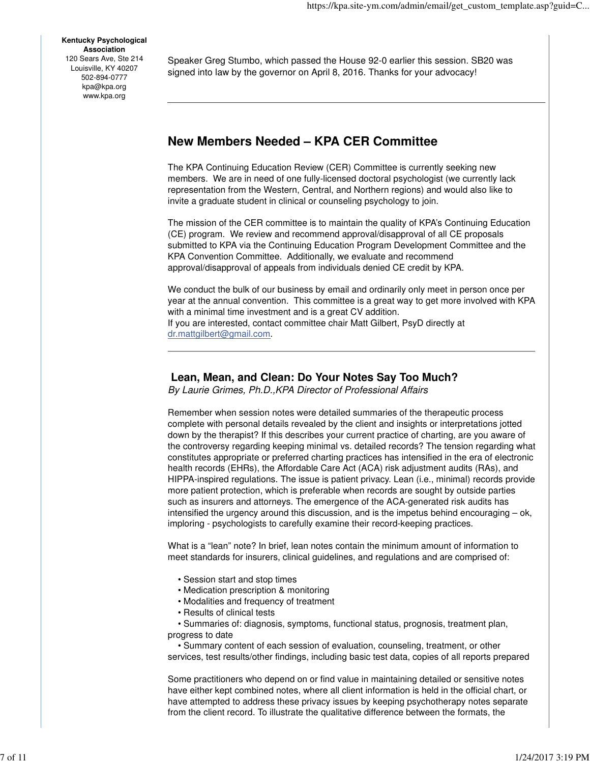**Kentucky Psychological Association** 120 Sears Ave, Ste 214 Louisville, KY 40207 502-894-0777 kpa@kpa.org www.kpa.org

Speaker Greg Stumbo, which passed the House 92-0 earlier this session. SB20 was signed into law by the governor on April 8, 2016. Thanks for your advocacy!

# **New Members Needed – KPA CER Committee**

The KPA Continuing Education Review (CER) Committee is currently seeking new members. We are in need of one fully-licensed doctoral psychologist (we currently lack representation from the Western, Central, and Northern regions) and would also like to invite a graduate student in clinical or counseling psychology to join.

The mission of the CER committee is to maintain the quality of KPA's Continuing Education (CE) program. We review and recommend approval/disapproval of all CE proposals submitted to KPA via the Continuing Education Program Development Committee and the KPA Convention Committee. Additionally, we evaluate and recommend approval/disapproval of appeals from individuals denied CE credit by KPA.

We conduct the bulk of our business by email and ordinarily only meet in person once per year at the annual convention. This committee is a great way to get more involved with KPA with a minimal time investment and is a great CV addition. If you are interested, contact committee chair Matt Gilbert, PsyD directly at dr.mattgilbert@gmail.com.

### **Lean, Mean, and Clean: Do Your Notes Say Too Much?**

By Laurie Grimes, Ph.D.,KPA Director of Professional Affairs

Remember when session notes were detailed summaries of the therapeutic process complete with personal details revealed by the client and insights or interpretations jotted down by the therapist? If this describes your current practice of charting, are you aware of the controversy regarding keeping minimal vs. detailed records? The tension regarding what constitutes appropriate or preferred charting practices has intensified in the era of electronic health records (EHRs), the Affordable Care Act (ACA) risk adjustment audits (RAs), and HIPPA-inspired regulations. The issue is patient privacy. Lean (i.e., minimal) records provide more patient protection, which is preferable when records are sought by outside parties such as insurers and attorneys. The emergence of the ACA-generated risk audits has intensified the urgency around this discussion, and is the impetus behind encouraging – ok, imploring - psychologists to carefully examine their record-keeping practices.

What is a "lean" note? In brief, lean notes contain the minimum amount of information to meet standards for insurers, clinical guidelines, and regulations and are comprised of:

- Session start and stop times
- Medication prescription & monitoring
- Modalities and frequency of treatment
- Results of clinical tests

 • Summaries of: diagnosis, symptoms, functional status, prognosis, treatment plan, progress to date

 • Summary content of each session of evaluation, counseling, treatment, or other services, test results/other findings, including basic test data, copies of all reports prepared

Some practitioners who depend on or find value in maintaining detailed or sensitive notes have either kept combined notes, where all client information is held in the official chart, or have attempted to address these privacy issues by keeping psychotherapy notes separate from the client record. To illustrate the qualitative difference between the formats, the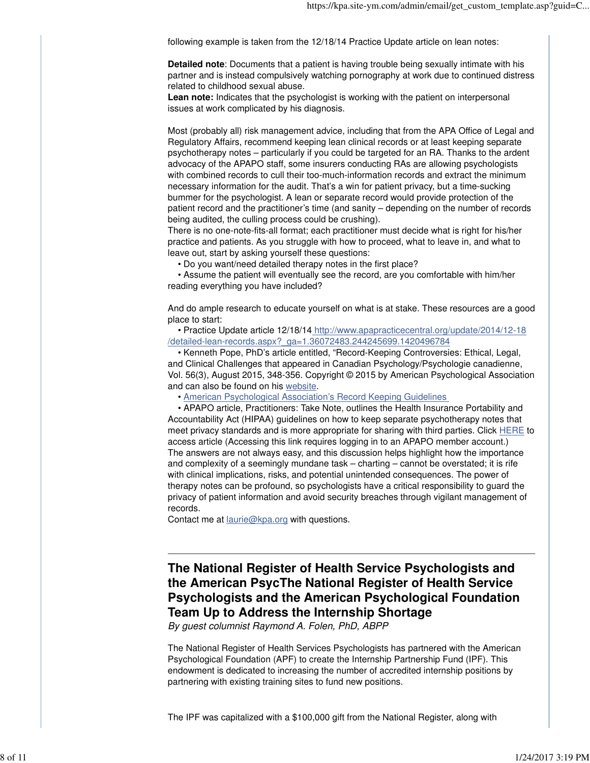following example is taken from the 12/18/14 Practice Update article on lean notes:

**Detailed note**: Documents that a patient is having trouble being sexually intimate with his partner and is instead compulsively watching pornography at work due to continued distress related to childhood sexual abuse.

**Lean note:** Indicates that the psychologist is working with the patient on interpersonal issues at work complicated by his diagnosis.

Most (probably all) risk management advice, including that from the APA Office of Legal and Regulatory Affairs, recommend keeping lean clinical records or at least keeping separate psychotherapy notes – particularly if you could be targeted for an RA. Thanks to the ardent advocacy of the APAPO staff, some insurers conducting RAs are allowing psychologists with combined records to cull their too-much-information records and extract the minimum necessary information for the audit. That's a win for patient privacy, but a time-sucking bummer for the psychologist. A lean or separate record would provide protection of the patient record and the practitioner's time (and sanity – depending on the number of records being audited, the culling process could be crushing).

There is no one-note-fits-all format; each practitioner must decide what is right for his/her practice and patients. As you struggle with how to proceed, what to leave in, and what to leave out, start by asking yourself these questions:

• Do you want/need detailed therapy notes in the first place?

 • Assume the patient will eventually see the record, are you comfortable with him/her reading everything you have included?

And do ample research to educate yourself on what is at stake. These resources are a good place to start:

 • Practice Update article 12/18/14 http://www.apapracticecentral.org/update/2014/12-18 /detailed-lean-records.aspx?\_ga=1.36072483.244245699.1420496784

 • Kenneth Pope, PhD's article entitled, "Record-Keeping Controversies: Ethical, Legal, and Clinical Challenges that appeared in Canadian Psychology/Psychologie canadienne, Vol. 56(3), August 2015, 348-356. Copyright © 2015 by American Psychological Association and can also be found on his website.

• American Psychological Association's Record Keeping Guidelines

 • APAPO article, Practitioners: Take Note, outlines the Health Insurance Portability and Accountability Act (HIPAA) guidelines on how to keep separate psychotherapy notes that meet privacy standards and is more appropriate for sharing with third parties. Click HERE to access article (Accessing this link requires logging in to an APAPO member account.) The answers are not always easy, and this discussion helps highlight how the importance and complexity of a seemingly mundane task – charting – cannot be overstated; it is rife with clinical implications, risks, and potential unintended consequences. The power of therapy notes can be profound, so psychologists have a critical responsibility to guard the privacy of patient information and avoid security breaches through vigilant management of records.

Contact me at laurie@kpa.org with questions.

**The National Register of Health Service Psychologists and the American PsycThe National Register of Health Service Psychologists and the American Psychological Foundation Team Up to Address the Internship Shortage**

By guest columnist Raymond A. Folen, PhD, ABPP

The National Register of Health Services Psychologists has partnered with the American Psychological Foundation (APF) to create the Internship Partnership Fund (IPF). This endowment is dedicated to increasing the number of accredited internship positions by partnering with existing training sites to fund new positions.

The IPF was capitalized with a \$100,000 gift from the National Register, along with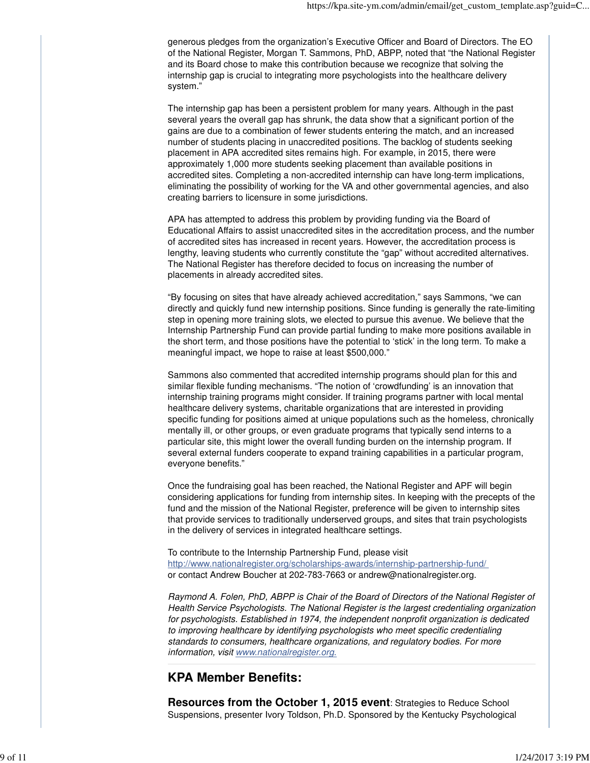generous pledges from the organization's Executive Officer and Board of Directors. The EO of the National Register, Morgan T. Sammons, PhD, ABPP, noted that "the National Register and its Board chose to make this contribution because we recognize that solving the internship gap is crucial to integrating more psychologists into the healthcare delivery system."

The internship gap has been a persistent problem for many years. Although in the past several years the overall gap has shrunk, the data show that a significant portion of the gains are due to a combination of fewer students entering the match, and an increased number of students placing in unaccredited positions. The backlog of students seeking placement in APA accredited sites remains high. For example, in 2015, there were approximately 1,000 more students seeking placement than available positions in accredited sites. Completing a non-accredited internship can have long-term implications, eliminating the possibility of working for the VA and other governmental agencies, and also creating barriers to licensure in some jurisdictions.

APA has attempted to address this problem by providing funding via the Board of Educational Affairs to assist unaccredited sites in the accreditation process, and the number of accredited sites has increased in recent years. However, the accreditation process is lengthy, leaving students who currently constitute the "gap" without accredited alternatives. The National Register has therefore decided to focus on increasing the number of placements in already accredited sites.

"By focusing on sites that have already achieved accreditation," says Sammons, "we can directly and quickly fund new internship positions. Since funding is generally the rate-limiting step in opening more training slots, we elected to pursue this avenue. We believe that the Internship Partnership Fund can provide partial funding to make more positions available in the short term, and those positions have the potential to 'stick' in the long term. To make a meaningful impact, we hope to raise at least \$500,000."

Sammons also commented that accredited internship programs should plan for this and similar flexible funding mechanisms. "The notion of 'crowdfunding' is an innovation that internship training programs might consider. If training programs partner with local mental healthcare delivery systems, charitable organizations that are interested in providing specific funding for positions aimed at unique populations such as the homeless, chronically mentally ill, or other groups, or even graduate programs that typically send interns to a particular site, this might lower the overall funding burden on the internship program. If several external funders cooperate to expand training capabilities in a particular program, everyone benefits."

Once the fundraising goal has been reached, the National Register and APF will begin considering applications for funding from internship sites. In keeping with the precepts of the fund and the mission of the National Register, preference will be given to internship sites that provide services to traditionally underserved groups, and sites that train psychologists in the delivery of services in integrated healthcare settings.

To contribute to the Internship Partnership Fund, please visit http://www.nationalregister.org/scholarships-awards/internship-partnership-fund/ or contact Andrew Boucher at 202-783-7663 or andrew@nationalregister.org.

Raymond A. Folen, PhD, ABPP is Chair of the Board of Directors of the National Register of Health Service Psychologists. The National Register is the largest credentialing organization for psychologists. Established in 1974, the independent nonprofit organization is dedicated to improving healthcare by identifying psychologists who meet specific credentialing standards to consumers, healthcare organizations, and regulatory bodies. For more information, visit www.nationalregister.org.

# **KPA Member Benefits:**

**Resources from the October 1, 2015 event**: Strategies to Reduce School Suspensions, presenter Ivory Toldson, Ph.D. Sponsored by the Kentucky Psychological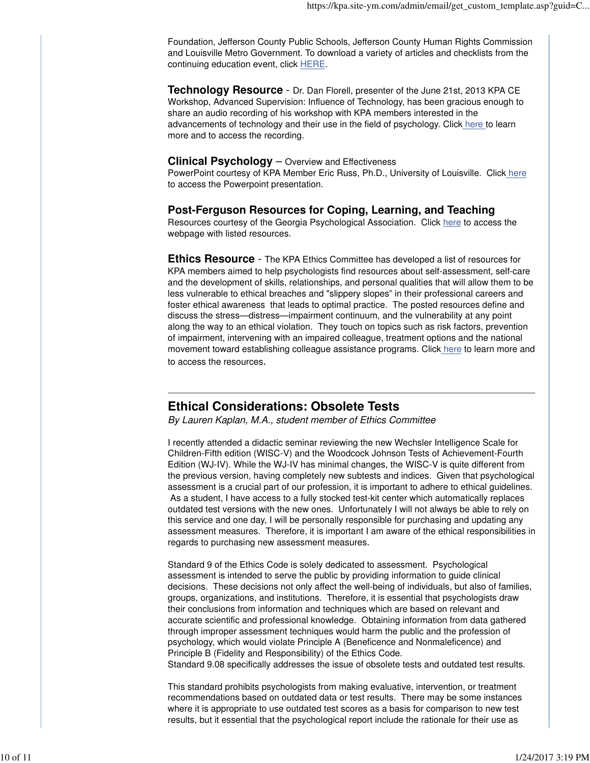Foundation, Jefferson County Public Schools, Jefferson County Human Rights Commission and Louisville Metro Government. To download a variety of articles and checklists from the continuing education event, click HERE.

**Technology Resource** - Dr. Dan Florell, presenter of the June 21st, 2013 KPA CE Workshop, Advanced Supervision: Influence of Technology, has been gracious enough to share an audio recording of his workshop with KPA members interested in the advancements of technology and their use in the field of psychology. Click here to learn more and to access the recording.

### **Clinical Psychology** – Overview and Effectiveness

PowerPoint courtesy of KPA Member Eric Russ, Ph.D., University of Louisville. Click here to access the Powerpoint presentation.

### **Post-Ferguson Resources for Coping, Learning, and Teaching**

Resources courtesy of the Georgia Psychological Association. Click here to access the webpage with listed resources.

**Ethics Resource** - The KPA Ethics Committee has developed a list of resources for KPA members aimed to help psychologists find resources about self-assessment, self-care and the development of skills, relationships, and personal qualities that will allow them to be less vulnerable to ethical breaches and "slippery slopes" in their professional careers and foster ethical awareness that leads to optimal practice. The posted resources define and discuss the stress—distress—impairment continuum, and the vulnerability at any point along the way to an ethical violation. They touch on topics such as risk factors, prevention of impairment, intervening with an impaired colleague, treatment options and the national movement toward establishing colleague assistance programs. Click here to learn more and to access the resources.

# **Ethical Considerations: Obsolete Tests**

By Lauren Kaplan, M.A., student member of Ethics Committee

I recently attended a didactic seminar reviewing the new Wechsler Intelligence Scale for Children-Fifth edition (WISC-V) and the Woodcock Johnson Tests of Achievement-Fourth Edition (WJ-IV). While the WJ-IV has minimal changes, the WISC-V is quite different from the previous version, having completely new subtests and indices. Given that psychological assessment is a crucial part of our profession, it is important to adhere to ethical guidelines. As a student, I have access to a fully stocked test-kit center which automatically replaces outdated test versions with the new ones. Unfortunately I will not always be able to rely on this service and one day, I will be personally responsible for purchasing and updating any assessment measures. Therefore, it is important I am aware of the ethical responsibilities in regards to purchasing new assessment measures.

Standard 9 of the Ethics Code is solely dedicated to assessment. Psychological assessment is intended to serve the public by providing information to guide clinical decisions. These decisions not only affect the well-being of individuals, but also of families, groups, organizations, and institutions. Therefore, it is essential that psychologists draw their conclusions from information and techniques which are based on relevant and accurate scientific and professional knowledge. Obtaining information from data gathered through improper assessment techniques would harm the public and the profession of psychology, which would violate Principle A (Beneficence and Nonmaleficence) and Principle B (Fidelity and Responsibility) of the Ethics Code.

Standard 9.08 specifically addresses the issue of obsolete tests and outdated test results.

This standard prohibits psychologists from making evaluative, intervention, or treatment recommendations based on outdated data or test results. There may be some instances where it is appropriate to use outdated test scores as a basis for comparison to new test results, but it essential that the psychological report include the rationale for their use as